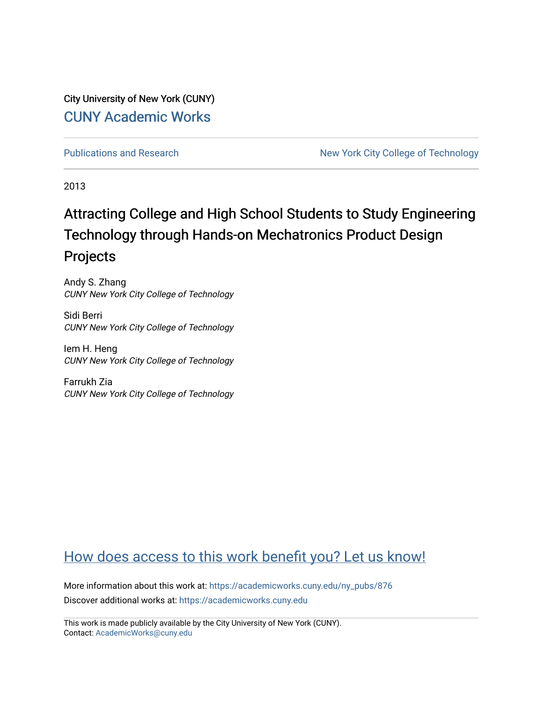City University of New York (CUNY) [CUNY Academic Works](https://academicworks.cuny.edu/) 

[Publications and Research](https://academicworks.cuny.edu/ny_pubs) New York City College of Technology

2013

# Attracting College and High School Students to Study Engineering Technology through Hands-on Mechatronics Product Design Projects

Andy S. Zhang CUNY New York City College of Technology

Sidi Berri CUNY New York City College of Technology

Iem H. Heng CUNY New York City College of Technology

Farrukh Zia CUNY New York City College of Technology

# [How does access to this work benefit you? Let us know!](http://ols.cuny.edu/academicworks/?ref=https://academicworks.cuny.edu/ny_pubs/876)

More information about this work at: [https://academicworks.cuny.edu/ny\\_pubs/876](https://academicworks.cuny.edu/ny_pubs/876)  Discover additional works at: [https://academicworks.cuny.edu](https://academicworks.cuny.edu/?)

This work is made publicly available by the City University of New York (CUNY). Contact: [AcademicWorks@cuny.edu](mailto:AcademicWorks@cuny.edu)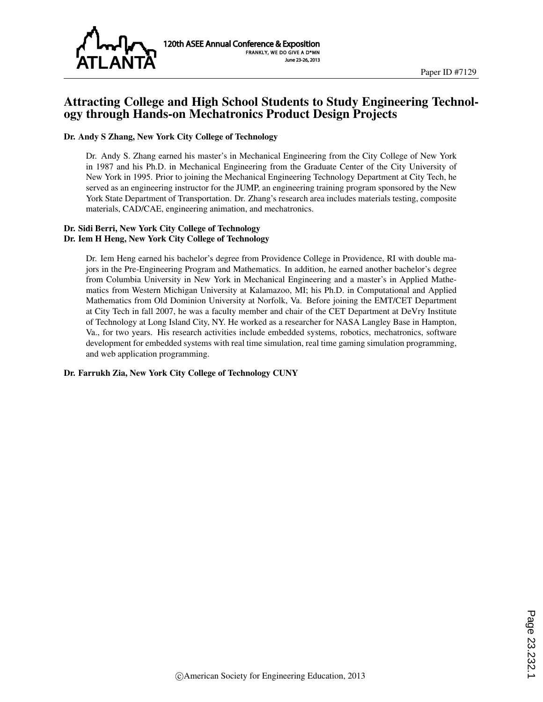

# Attracting College and High School Students to Study Engineering Technology through Hands-on Mechatronics Product Design Projects

### Dr. Andy S Zhang, New York City College of Technology

Dr. Andy S. Zhang earned his master's in Mechanical Engineering from the City College of New York in 1987 and his Ph.D. in Mechanical Engineering from the Graduate Center of the City University of New York in 1995. Prior to joining the Mechanical Engineering Technology Department at City Tech, he served as an engineering instructor for the JUMP, an engineering training program sponsored by the New York State Department of Transportation. Dr. Zhang's research area includes materials testing, composite materials, CAD/CAE, engineering animation, and mechatronics.

#### Dr. Sidi Berri, New York City College of Technology Dr. Iem H Heng, New York City College of Technology

Dr. Iem Heng earned his bachelor's degree from Providence College in Providence, RI with double majors in the Pre-Engineering Program and Mathematics. In addition, he earned another bachelor's degree from Columbia University in New York in Mechanical Engineering and a master's in Applied Mathematics from Western Michigan University at Kalamazoo, MI; his Ph.D. in Computational and Applied Mathematics from Old Dominion University at Norfolk, Va. Before joining the EMT/CET Department at City Tech in fall 2007, he was a faculty member and chair of the CET Department at DeVry Institute of Technology at Long Island City, NY. He worked as a researcher for NASA Langley Base in Hampton, Va., for two years. His research activities include embedded systems, robotics, mechatronics, software development for embedded systems with real time simulation, real time gaming simulation programming, and web application programming.

#### Dr. Farrukh Zia, New York City College of Technology CUNY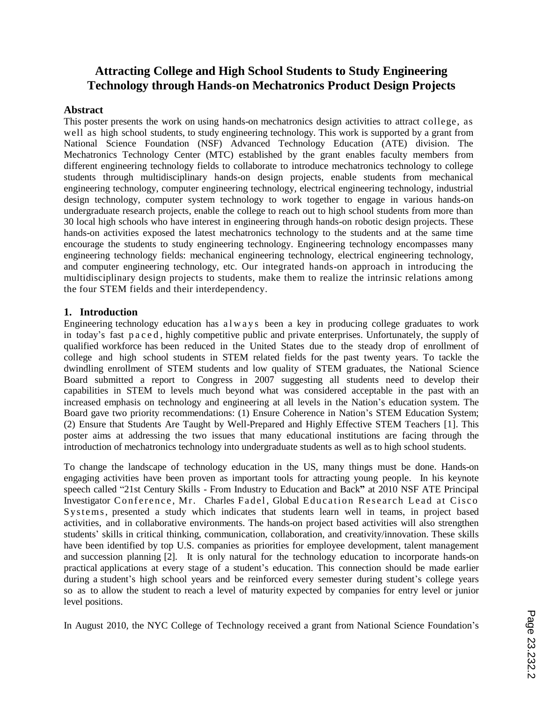# **Attracting College and High School Students to Study Engineering Technology through Hands-on Mechatronics Product Design Projects**

### **Abstract**

This poster presents the work on using hands-on mechatronics design activities to attract college, as well as high school students, to study engineering technology. This work is supported by a grant from National Science Foundation (NSF) Advanced Technology Education (ATE) division. The Mechatronics Technology Center (MTC) established by the grant enables faculty members from different engineering technology fields to collaborate to introduce mechatronics technology to college students through multidisciplinary hands-on design projects, enable students from mechanical engineering technology, computer engineering technology, electrical engineering technology, industrial design technology, computer system technology to work together to engage in various hands-on undergraduate research projects, enable the college to reach out to high school students from more than 30 local high schools who have interest in engineering through hands-on robotic design projects. These hands-on activities exposed the latest mechatronics technology to the students and at the same time encourage the students to study engineering technology. Engineering technology encompasses many engineering technology fields: mechanical engineering technology, electrical engineering technology, and computer engineering technology, etc. Our integrated hands-on approach in introducing the multidisciplinary design projects to students, make them to realize the intrinsic relations among the four STEM fields and their interdependency.

### **1. Introduction**

Engineering technology education has a  $l$  w a y s been a key in producing college graduates to work in today's fast p a c e d , highly competitive public and private enterprises. Unfortunately, the supply of qualified workforce has been reduced in the United States due to the steady drop of enrollment of college and high school students in STEM related fields for the past twenty years. To tackle the dwindling enrollment of STEM students and low quality of STEM graduates, the National Science Board submitted a report to Congress in 2007 suggesting all students need to develop their capabilities in STEM to levels much beyond what was considered acceptable in the past with an increased emphasis on technology and engineering at all levels in the Nation's education system. The Board gave two priority recommendations: (1) Ensure Coherence in Nation's STEM Education System; (2) Ensure that Students Are Taught by Well-Prepared and Highly Effective STEM Teachers [1]. This poster aims at addressing the two issues that many educational institutions are facing through the introduction of mechatronics technology into undergraduate students as well as to high school students.

To change the landscape of technology education in the US, many things must be done. Hands-on engaging activities have been proven as important tools for attracting young people. In his keynote speech called "21st Century Skills - From Industry to Education and Back**"** at 2010 NSF ATE Principal Investigator Conference, Mr. Charles Fadel, Global Education Research Lead at Cisco Systems, presented a study which indicates that students learn well in teams, in project based activities, and in collaborative environments. The hands-on project based activities will also strengthen students' skills in critical thinking, communication, collaboration, and creativity/innovation. These skills have been identified by top U.S. companies as priorities for employee development, talent management and succession planning [2]. It is only natural for the technology education to incorporate hands-on practical applications at every stage of a student's education. This connection should be made earlier during a student's high school years and be reinforced every semester during student's college years so as to allow the student to reach a level of maturity expected by companies for entry level or junior level positions.

In August 2010, the NYC College of Technology received a grant from National Science Foundation's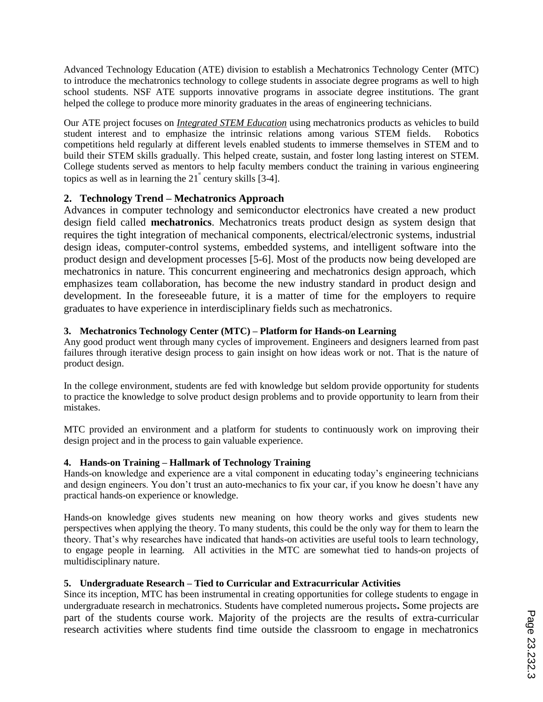Advanced Technology Education (ATE) division to establish a Mechatronics Technology Center (MTC) to introduce the mechatronics technology to college students in associate degree programs as well to high school students. NSF ATE supports innovative programs in associate degree institutions. The grant helped the college to produce more minority graduates in the areas of engineering technicians.

Our ATE project focuses on *Integrated STEM Education* using mechatronics products as vehicles to build student interest and to emphasize the intrinsic relations among various STEM fields. Robotics competitions held regularly at different levels enabled students to immerse themselves in STEM and to build their STEM skills gradually. This helped create, sustain, and foster long lasting interest on STEM. College students served as mentors to help faculty members conduct the training in various engineering topics as well as in learning the  $21^{\degree}$  century skills [3-4].

# **2. Technology Trend – Mechatronics Approach**

Advances in computer technology and semiconductor electronics have created a new product design field called **mechatronics**. Mechatronics treats product design as system design that requires the tight integration of mechanical components, electrical/electronic systems, industrial design ideas, computer-control systems, embedded systems, and intelligent software into the product design and development processes [5-6]. Most of the products now being developed are mechatronics in nature. This concurrent engineering and mechatronics design approach, which emphasizes team collaboration, has become the new industry standard in product design and development. In the foreseeable future, it is a matter of time for the employers to require graduates to have experience in interdisciplinary fields such as mechatronics.

# **3. Mechatronics Technology Center (MTC) – Platform for Hands-on Learning**

Any good product went through many cycles of improvement. Engineers and designers learned from past failures through iterative design process to gain insight on how ideas work or not. That is the nature of product design.

In the college environment, students are fed with knowledge but seldom provide opportunity for students to practice the knowledge to solve product design problems and to provide opportunity to learn from their mistakes.

MTC provided an environment and a platform for students to continuously work on improving their design project and in the process to gain valuable experience.

# **4. Hands-on Training – Hallmark of Technology Training**

Hands-on knowledge and experience are a vital component in educating today's engineering technicians and design engineers. You don't trust an auto-mechanics to fix your car, if you know he doesn't have any practical hands-on experience or knowledge.

Hands-on knowledge gives students new meaning on how theory works and gives students new perspectives when applying the theory. To many students, this could be the only way for them to learn the theory. That's why researches have indicated that hands-on activities are useful tools to learn technology, to engage people in learning. All activities in the MTC are somewhat tied to hands-on projects of multidisciplinary nature.

# **5. Undergraduate Research – Tied to Curricular and Extracurricular Activities**

Since its inception, MTC has been instrumental in creating opportunities for college students to engage in undergraduate research in mechatronics. Students have completed numerous projects**.** Some projects are part of the students course work. Majority of the projects are the results of extra-curricular research activities where students find time outside the classroom to engage in mechatronics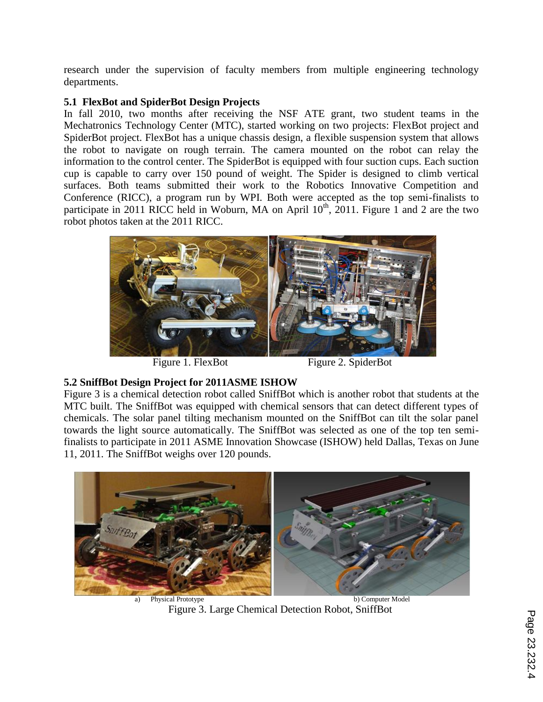research under the supervision of faculty members from multiple engineering technology departments.

# **5.1 FlexBot and SpiderBot Design Projects**

In fall 2010, two months after receiving the NSF ATE grant, two student teams in the Mechatronics Technology Center (MTC), started working on two projects: FlexBot project and SpiderBot project. FlexBot has a unique chassis design, a flexible suspension system that allows the robot to navigate on rough terrain. The camera mounted on the robot can relay the information to the control center. The SpiderBot is equipped with four suction cups. Each suction cup is capable to carry over 150 pound of weight. The Spider is designed to climb vertical surfaces. Both teams submitted their work to the Robotics Innovative Competition and Conference (RICC), a program run by WPI. Both were accepted as the top semi-finalists to participate in 2011 RICC held in Woburn, MA on April  $10^{th}$ , 2011. Figure 1 and 2 are the two robot photos taken at the 2011 RICC.



Figure 1. FlexBot Figure 2. SpiderBot

# **5.2 SniffBot Design Project for 2011ASME ISHOW**

Figure 3 is a chemical detection robot called SniffBot which is another robot that students at the MTC built. The SniffBot was equipped with chemical sensors that can detect different types of chemicals. The solar panel tilting mechanism mounted on the SniffBot can tilt the solar panel towards the light source automatically. The SniffBot was selected as one of the top ten semifinalists to participate in 2011 ASME Innovation Showcase (ISHOW) held Dallas, Texas on June 11, 2011. The SniffBot weighs over 120 pounds.



Figure 3. Large Chemical Detection Robot, SniffBot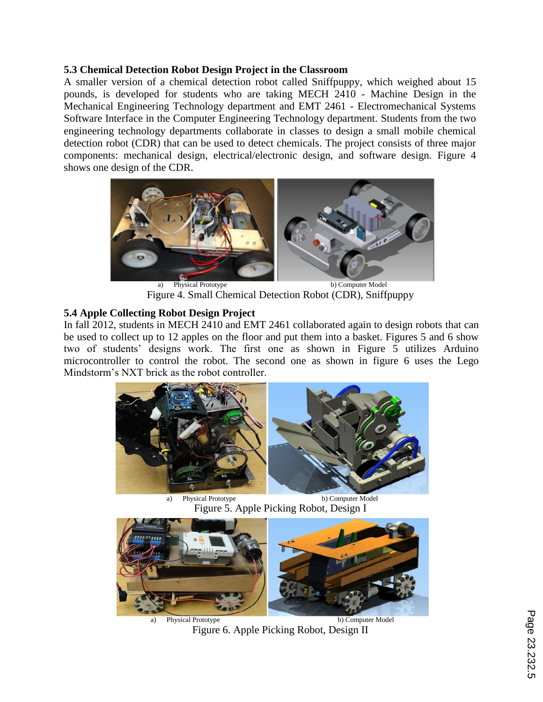# **5.3 Chemical Detection Robot Design Project in the Classroom**

A smaller version of a chemical detection robot called Sniffpuppy, which weighed about 15 pounds, is developed for students who are taking MECH 2410 - Machine Design in the Mechanical Engineering Technology department and EMT 2461 - Electromechanical Systems Software Interface in the Computer Engineering Technology department. Students from the two engineering technology departments collaborate in classes to design a small mobile chemical detection robot (CDR) that can be used to detect chemicals. The project consists of three major components: mechanical design, electrical/electronic design, and software design. Figure 4 shows one design of the CDR.



Physical Prototype b) Computer Model Figure 4. Small Chemical Detection Robot (CDR), Sniffpuppy

# **5.4 Apple Collecting Robot Design Project**

In fall 2012, students in MECH 2410 and EMT 2461 collaborated again to design robots that can be used to collect up to 12 apples on the floor and put them into a basket. Figures 5 and 6 show two of students' designs work. The first one as shown in Figure 5 utilizes Arduino microcontroller to control the robot. The second one as shown in figure 6 uses the Lego Mindstorm's NXT brick as the robot controller.



a) Physical Prototype b) Computer Model Figure 5. Apple Picking Robot, Design I



Figure 6. Apple Picking Robot, Design II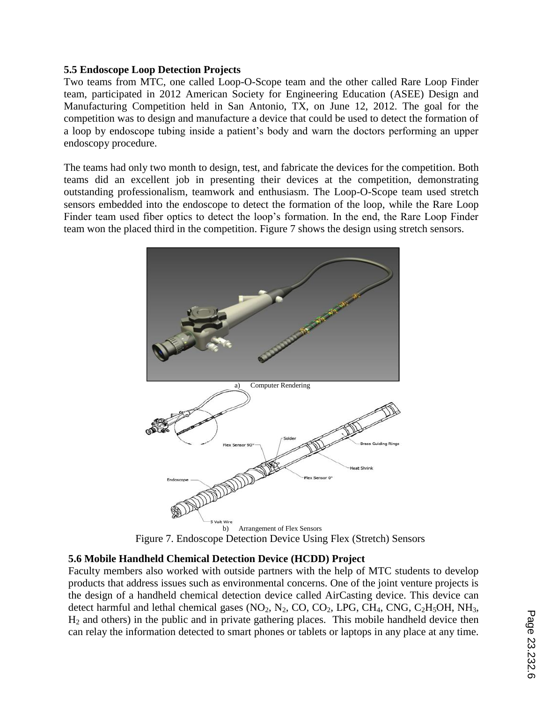# **5.5 Endoscope Loop Detection Projects**

Two teams from MTC, one called Loop-O-Scope team and the other called Rare Loop Finder team, participated in 2012 American Society for Engineering Education (ASEE) Design and Manufacturing Competition held in San Antonio, TX, on June 12, 2012. The goal for the competition was to design and manufacture a device that could be used to detect the formation of a loop by endoscope tubing inside a patient's body and warn the doctors performing an upper endoscopy procedure.

The teams had only two month to design, test, and fabricate the devices for the competition. Both teams did an excellent job in presenting their devices at the competition, demonstrating outstanding professionalism, teamwork and enthusiasm. The Loop-O-Scope team used stretch sensors embedded into the endoscope to detect the formation of the loop, while the Rare Loop Finder team used fiber optics to detect the loop's formation. In the end, the Rare Loop Finder team won the placed third in the competition. Figure 7 shows the design using stretch sensors.



Figure 7. Endoscope Detection Device Using Flex (Stretch) Sensors

# **5.6 Mobile Handheld Chemical Detection Device (HCDD) Project**

Faculty members also worked with outside partners with the help of MTC students to develop products that address issues such as environmental concerns. One of the joint venture projects is the design of a handheld chemical detection device called AirCasting device. This device can detect harmful and lethal chemical gases  $(NO_2, N_2, CO, CO_2, LPG, CH_4, CNG, C_2H_5OH, NH_3,$  $H<sub>2</sub>$  and others) in the public and in private gathering places. This mobile handheld device then can relay the information detected to smart phones or tablets or laptops in any place at any time.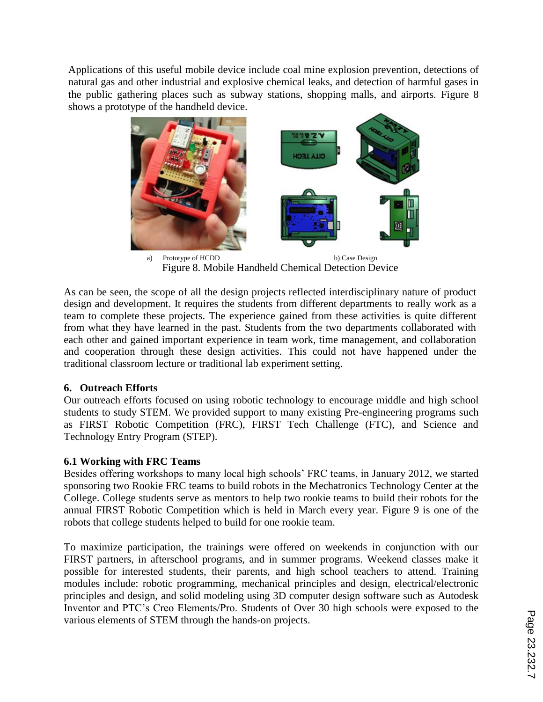Applications of this useful mobile device include coal mine explosion prevention, detections of natural gas and other industrial and explosive chemical leaks, and detection of harmful gases in the public gathering places such as subway stations, shopping malls, and airports. Figure 8 shows a prototype of the handheld device.



a) Prototype of HCDD b) Case Design Figure 8. Mobile Handheld Chemical Detection Device

As can be seen, the scope of all the design projects reflected interdisciplinary nature of product design and development. It requires the students from different departments to really work as a team to complete these projects. The experience gained from these activities is quite different from what they have learned in the past. Students from the two departments collaborated with each other and gained important experience in team work, time management, and collaboration and cooperation through these design activities. This could not have happened under the traditional classroom lecture or traditional lab experiment setting.

# **6. Outreach Efforts**

Our outreach efforts focused on using robotic technology to encourage middle and high school students to study STEM. We provided support to many existing Pre-engineering programs such as FIRST Robotic Competition (FRC), FIRST Tech Challenge (FTC), and Science and Technology Entry Program (STEP).

# **6.1 Working with FRC Teams**

Besides offering workshops to many local high schools' FRC teams, in January 2012, we started sponsoring two Rookie FRC teams to build robots in the Mechatronics Technology Center at the College. College students serve as mentors to help two rookie teams to build their robots for the annual FIRST Robotic Competition which is held in March every year. Figure 9 is one of the robots that college students helped to build for one rookie team.

To maximize participation, the trainings were offered on weekends in conjunction with our FIRST partners, in afterschool programs, and in summer programs. Weekend classes make it possible for interested students, their parents, and high school teachers to attend. Training modules include: robotic programming, mechanical principles and design, electrical/electronic principles and design, and solid modeling using 3D computer design software such as Autodesk Inventor and PTC's Creo Elements/Pro. Students of Over 30 high schools were exposed to the various elements of STEM through the hands-on projects.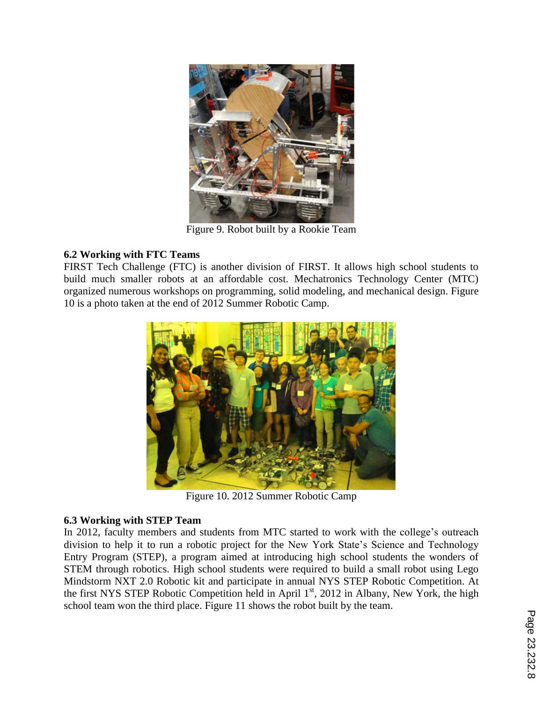

Figure 9. Robot built by a Rookie Team

# **6.2 Working with FTC Teams**

FIRST Tech Challenge (FTC) is another division of FIRST. It allows high school students to build much smaller robots at an affordable cost. Mechatronics Technology Center (MTC) organized numerous workshops on programming, solid modeling, and mechanical design. Figure 10 is a photo taken at the end of 2012 Summer Robotic Camp.



Figure 10. 2012 Summer Robotic Camp

# **6.3 Working with STEP Team**

In 2012, faculty members and students from MTC started to work with the college's outreach division to help it to run a robotic project for the New York State's Science and Technology Entry Program (STEP), a program aimed at introducing high school students the wonders of STEM through robotics. High school students were required to build a small robot using Lego Mindstorm NXT 2.0 Robotic kit and participate in annual NYS STEP Robotic Competition. At the first NYS STEP Robotic Competition held in April 1<sup>st</sup>, 2012 in Albany, New York, the high school team won the third place. Figure 11 shows the robot built by the team.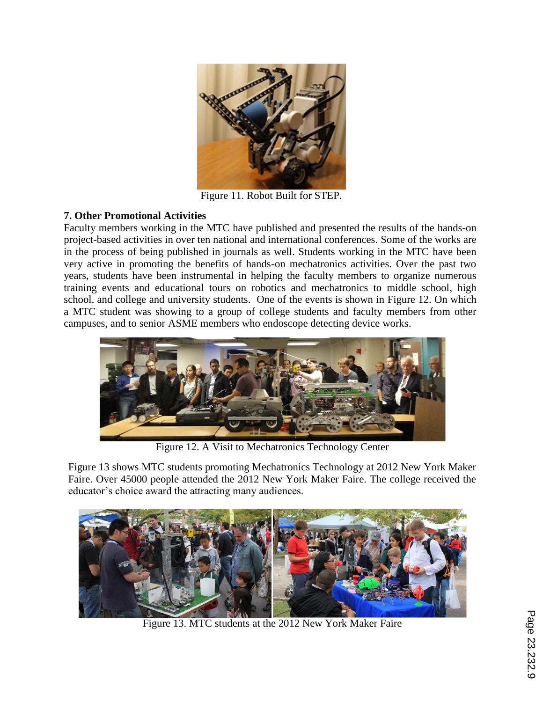

Figure 11. Robot Built for STEP.

# **7. Other Promotional Activities**

Faculty members working in the MTC have published and presented the results of the hands-on project-based activities in over ten national and international conferences. Some of the works are in the process of being published in journals as well. Students working in the MTC have been very active in promoting the benefits of hands-on mechatronics activities. Over the past two years, students have been instrumental in helping the faculty members to organize numerous training events and educational tours on robotics and mechatronics to middle school, high school, and college and university students. One of the events is shown in Figure 12. On which a MTC student was showing to a group of college students and faculty members from other campuses, and to senior ASME members who endoscope detecting device works.



Figure 12. A Visit to Mechatronics Technology Center

Figure 13 shows MTC students promoting Mechatronics Technology at 2012 New York Maker Faire. Over 45000 people attended the 2012 New York Maker Faire. The college received the educator's choice award the attracting many audiences.



Figure 13. MTC students at the 2012 New York Maker Faire